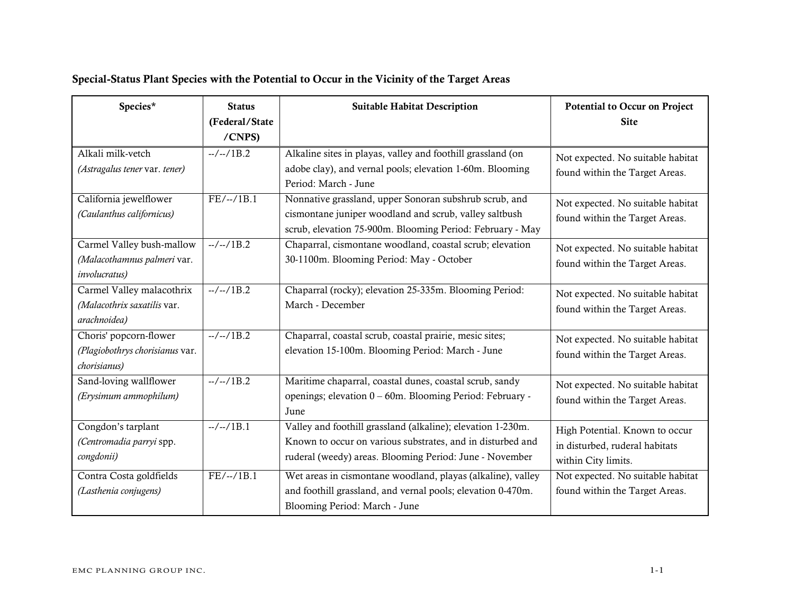| Species*                                                                          | <b>Status</b><br>(Federal/State<br>/CNPS) | <b>Suitable Habitat Description</b>                                                                                                                                                  | <b>Potential to Occur on Project</b><br><b>Site</b>                                     |
|-----------------------------------------------------------------------------------|-------------------------------------------|--------------------------------------------------------------------------------------------------------------------------------------------------------------------------------------|-----------------------------------------------------------------------------------------|
| Alkali milk-vetch<br>(Astragalus tener var. tener)                                | $-/-/1B.2$                                | Alkaline sites in playas, valley and foothill grassland (on<br>adobe clay), and vernal pools; elevation 1-60m. Blooming<br>Period: March - June                                      | Not expected. No suitable habitat<br>found within the Target Areas.                     |
| California jewelflower<br>(Caulanthus californicus)                               | $FE/-/1B.1$                               | Nonnative grassland, upper Sonoran subshrub scrub, and<br>cismontane juniper woodland and scrub, valley saltbush<br>scrub, elevation 75-900m. Blooming Period: February - May        | Not expected. No suitable habitat<br>found within the Target Areas.                     |
| Carmel Valley bush-mallow<br>(Malacothamnus palmeri var.<br><i>involucratus</i> ) | $-/-/1B.2$                                | Chaparral, cismontane woodland, coastal scrub; elevation<br>30-1100m. Blooming Period: May - October                                                                                 | Not expected. No suitable habitat<br>found within the Target Areas.                     |
| Carmel Valley malacothrix<br>(Malacothrix saxatilis var.<br>arachnoidea)          | $-/-/1B.2$                                | Chaparral (rocky); elevation 25-335m. Blooming Period:<br>March - December                                                                                                           | Not expected. No suitable habitat<br>found within the Target Areas.                     |
| Choris' popcorn-flower<br>(Plagiobothrys chorisianus var.<br>chorisianus)         | $-/-/1B.2$                                | Chaparral, coastal scrub, coastal prairie, mesic sites;<br>elevation 15-100m. Blooming Period: March - June                                                                          | Not expected. No suitable habitat<br>found within the Target Areas.                     |
| Sand-loving wallflower<br>(Erysimum ammophilum)                                   | $-/-/1B.2$                                | Maritime chaparral, coastal dunes, coastal scrub, sandy<br>openings; elevation 0 - 60m. Blooming Period: February -<br>June                                                          | Not expected. No suitable habitat<br>found within the Target Areas.                     |
| Congdon's tarplant<br>(Centromadia parryi spp.<br>congdonii)                      | $-/-/1B.1$                                | Valley and foothill grassland (alkaline); elevation 1-230m.<br>Known to occur on various substrates, and in disturbed and<br>ruderal (weedy) areas. Blooming Period: June - November | High Potential. Known to occur<br>in disturbed, ruderal habitats<br>within City limits. |
| Contra Costa goldfields<br>(Lasthenia conjugens)                                  | $FE/-./1B.1$                              | Wet areas in cismontane woodland, playas (alkaline), valley<br>and foothill grassland, and vernal pools; elevation 0-470m.<br>Blooming Period: March - June                          | Not expected. No suitable habitat<br>found within the Target Areas.                     |

# Special-Status Plant Species with the Potential to Occur in the Vicinity of the Target Areas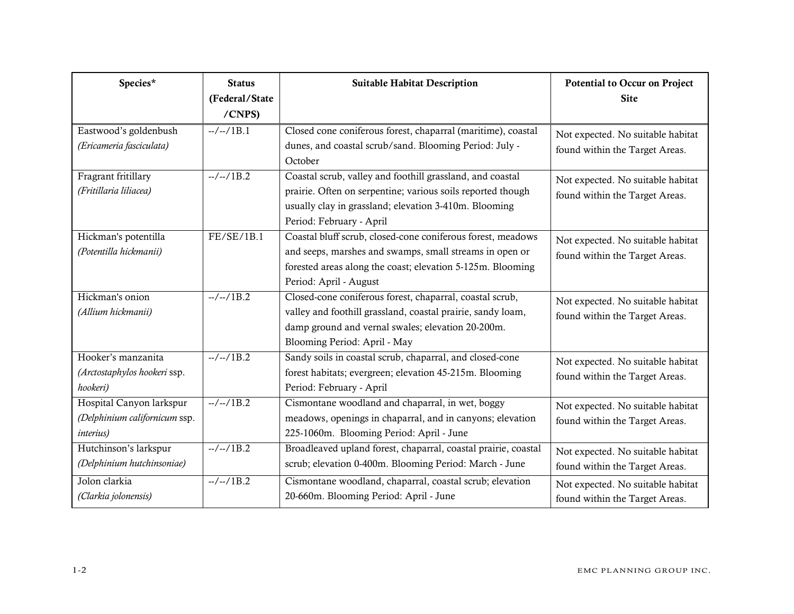| Species*                                                                       | <b>Status</b><br>(Federal/State<br>/CNPS) | <b>Suitable Habitat Description</b>                                                                                                                                                                            | <b>Potential to Occur on Project</b><br><b>Site</b>                 |
|--------------------------------------------------------------------------------|-------------------------------------------|----------------------------------------------------------------------------------------------------------------------------------------------------------------------------------------------------------------|---------------------------------------------------------------------|
| Eastwood's goldenbush<br>(Ericameria fasciculata)                              | $-/-/1B.1$                                | Closed cone coniferous forest, chaparral (maritime), coastal<br>dunes, and coastal scrub/sand. Blooming Period: July -<br>October                                                                              | Not expected. No suitable habitat<br>found within the Target Areas. |
| Fragrant fritillary<br>(Fritillaria liliacea)                                  | $-/-/1B.2$                                | Coastal scrub, valley and foothill grassland, and coastal<br>prairie. Often on serpentine; various soils reported though<br>usually clay in grassland; elevation 3-410m. Blooming<br>Period: February - April  | Not expected. No suitable habitat<br>found within the Target Areas. |
| Hickman's potentilla<br>(Potentilla hickmanii)                                 | FE/SE/1B.1                                | Coastal bluff scrub, closed-cone coniferous forest, meadows<br>and seeps, marshes and swamps, small streams in open or<br>forested areas along the coast; elevation 5-125m. Blooming<br>Period: April - August | Not expected. No suitable habitat<br>found within the Target Areas. |
| Hickman's onion<br>(Allium hickmanii)                                          | $-/-/1B.2$                                | Closed-cone coniferous forest, chaparral, coastal scrub,<br>valley and foothill grassland, coastal prairie, sandy loam,<br>damp ground and vernal swales; elevation 20-200m.<br>Blooming Period: April - May   | Not expected. No suitable habitat<br>found within the Target Areas. |
| Hooker's manzanita<br>(Arctostaphylos hookeri ssp.<br>hookeri)                 | $-/-/1B.2$                                | Sandy soils in coastal scrub, chaparral, and closed-cone<br>forest habitats; evergreen; elevation 45-215m. Blooming<br>Period: February - April                                                                | Not expected. No suitable habitat<br>found within the Target Areas. |
| Hospital Canyon larkspur<br>(Delphinium californicum ssp.<br><i>interius</i> ) | $-/-/1B.2$                                | Cismontane woodland and chaparral, in wet, boggy<br>meadows, openings in chaparral, and in canyons; elevation<br>225-1060m. Blooming Period: April - June                                                      | Not expected. No suitable habitat<br>found within the Target Areas. |
| Hutchinson's larkspur<br>(Delphinium hutchinsoniae)                            | $-/-/1B.2$                                | Broadleaved upland forest, chaparral, coastal prairie, coastal<br>scrub; elevation 0-400m. Blooming Period: March - June                                                                                       | Not expected. No suitable habitat<br>found within the Target Areas. |
| Jolon clarkia<br>(Clarkia jolonensis)                                          | $-/-/1B.2$                                | Cismontane woodland, chaparral, coastal scrub; elevation<br>20-660m. Blooming Period: April - June                                                                                                             | Not expected. No suitable habitat<br>found within the Target Areas. |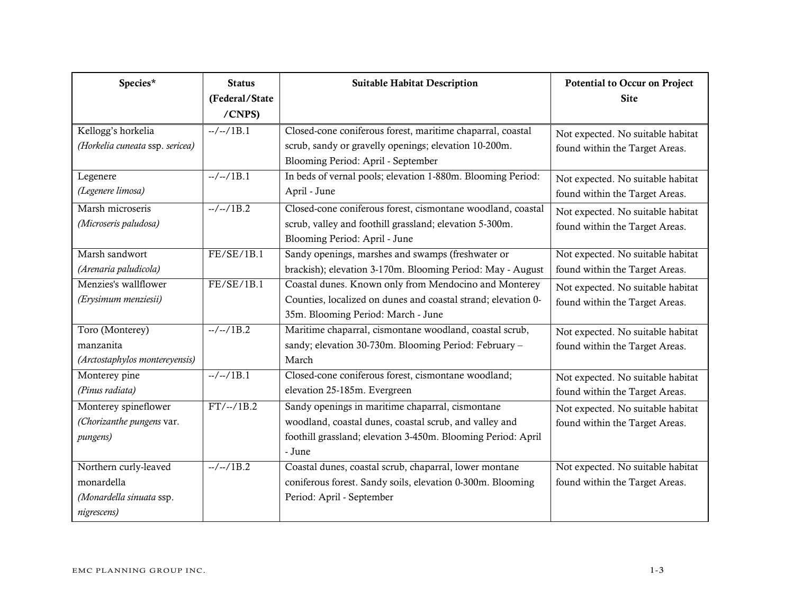| Species*                                                                       | <b>Status</b>            | <b>Suitable Habitat Description</b>                                                                                                                                                  | <b>Potential to Occur on Project</b>                                |
|--------------------------------------------------------------------------------|--------------------------|--------------------------------------------------------------------------------------------------------------------------------------------------------------------------------------|---------------------------------------------------------------------|
|                                                                                | (Federal/State<br>/CNPS) |                                                                                                                                                                                      | <b>Site</b>                                                         |
| Kellogg's horkelia<br>(Horkelia cuneata ssp. sericea)                          | $-/-/1B.1$               | Closed-cone coniferous forest, maritime chaparral, coastal<br>scrub, sandy or gravelly openings; elevation 10-200m.<br>Blooming Period: April - September                            | Not expected. No suitable habitat<br>found within the Target Areas. |
| Legenere<br>(Legenere limosa)                                                  | $-/-/1B.1$               | In beds of vernal pools; elevation 1-880m. Blooming Period:<br>April - June                                                                                                          | Not expected. No suitable habitat<br>found within the Target Areas. |
| Marsh microseris<br>(Microseris paludosa)                                      | $-/-/1B.2$               | Closed-cone coniferous forest, cismontane woodland, coastal<br>scrub, valley and foothill grassland; elevation 5-300m.<br>Blooming Period: April - June                              | Not expected. No suitable habitat<br>found within the Target Areas. |
| Marsh sandwort<br>(Arenaria paludicola)                                        | FE/SE/1B.1               | Sandy openings, marshes and swamps (freshwater or<br>brackish); elevation 3-170m. Blooming Period: May - August                                                                      | Not expected. No suitable habitat<br>found within the Target Areas. |
| Menzies's wallflower<br>(Erysimum menziesii)                                   | FE/SE/1B.1               | Coastal dunes. Known only from Mendocino and Monterey<br>Counties, localized on dunes and coastal strand; elevation 0-<br>35m. Blooming Period: March - June                         | Not expected. No suitable habitat<br>found within the Target Areas. |
| Toro (Monterey)<br>manzanita<br>(Arctostaphylos montereyensis)                 | $-/-/1B.2$               | Maritime chaparral, cismontane woodland, coastal scrub,<br>sandy; elevation 30-730m. Blooming Period: February -<br>March                                                            | Not expected. No suitable habitat<br>found within the Target Areas. |
| Monterey pine<br>(Pinus radiata)                                               | $-/-/1B.1$               | Closed-cone coniferous forest, cismontane woodland;<br>elevation 25-185m. Evergreen                                                                                                  | Not expected. No suitable habitat<br>found within the Target Areas. |
| Monterey spineflower<br>(Chorizanthe pungens var.<br>pungens)                  | $FT/-/1B.2$              | Sandy openings in maritime chaparral, cismontane<br>woodland, coastal dunes, coastal scrub, and valley and<br>foothill grassland; elevation 3-450m. Blooming Period: April<br>- June | Not expected. No suitable habitat<br>found within the Target Areas. |
| Northern curly-leaved<br>monardella<br>(Monardella sinuata ssp.<br>nigrescens) | $-/-/1B.2$               | Coastal dunes, coastal scrub, chaparral, lower montane<br>coniferous forest. Sandy soils, elevation 0-300m. Blooming<br>Period: April - September                                    | Not expected. No suitable habitat<br>found within the Target Areas. |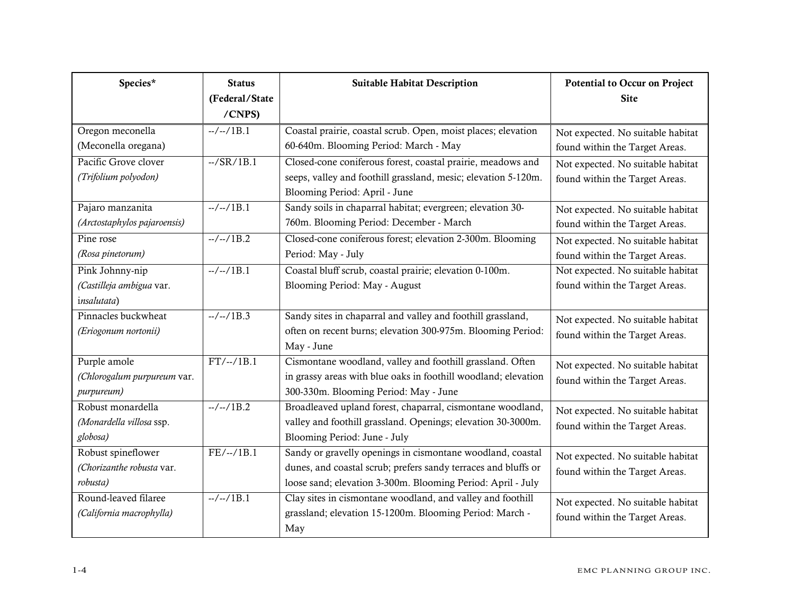| Species*                     | <b>Status</b>              | <b>Suitable Habitat Description</b>                            | Potential to Occur on Project     |
|------------------------------|----------------------------|----------------------------------------------------------------|-----------------------------------|
|                              | (Federal/State             |                                                                | <b>Site</b>                       |
|                              | /CNPS)                     |                                                                |                                   |
| Oregon meconella             | $-/-/1B.1$                 | Coastal prairie, coastal scrub. Open, moist places; elevation  | Not expected. No suitable habitat |
| (Meconella oregana)          |                            | 60-640m. Blooming Period: March - May                          | found within the Target Areas.    |
| Pacific Grove clover         | $-$ /SR $\overline{/1B.1}$ | Closed-cone coniferous forest, coastal prairie, meadows and    | Not expected. No suitable habitat |
| (Trifolium polyodon)         |                            | seeps, valley and foothill grassland, mesic; elevation 5-120m. | found within the Target Areas.    |
|                              |                            | Blooming Period: April - June                                  |                                   |
| Pajaro manzanita             | $-/-/1B.1$                 | Sandy soils in chaparral habitat; evergreen; elevation 30-     | Not expected. No suitable habitat |
| (Arctostaphylos pajaroensis) |                            | 760m. Blooming Period: December - March                        | found within the Target Areas.    |
| Pine rose                    | $-/-/1B.2$                 | Closed-cone coniferous forest; elevation 2-300m. Blooming      | Not expected. No suitable habitat |
| (Rosa pinetorum)             |                            | Period: May - July                                             | found within the Target Areas.    |
| Pink Johnny-nip              | $-/-/1B.1$                 | Coastal bluff scrub, coastal prairie; elevation 0-100m.        | Not expected. No suitable habitat |
| (Castilleja ambigua var.     |                            | Blooming Period: May - August                                  | found within the Target Areas.    |
| insalutata)                  |                            |                                                                |                                   |
| Pinnacles buckwheat          | $-/-/1B.3$                 | Sandy sites in chaparral and valley and foothill grassland,    | Not expected. No suitable habitat |
| (Eriogonum nortonii)         |                            | often on recent burns; elevation 300-975m. Blooming Period:    | found within the Target Areas.    |
|                              |                            | May - June                                                     |                                   |
| Purple amole                 | $FT/-/1B.1$                | Cismontane woodland, valley and foothill grassland. Often      | Not expected. No suitable habitat |
| (Chlorogalum purpureum var.  |                            | in grassy areas with blue oaks in foothill woodland; elevation | found within the Target Areas.    |
| purpureum)                   |                            | 300-330m. Blooming Period: May - June                          |                                   |
| Robust monardella            | $-/-/1B.2$                 | Broadleaved upland forest, chaparral, cismontane woodland,     | Not expected. No suitable habitat |
| (Monardella villosa ssp.     |                            | valley and foothill grassland. Openings; elevation 30-3000m.   | found within the Target Areas.    |
| globosa)                     |                            | Blooming Period: June - July                                   |                                   |
| Robust spineflower           | $FE/-/1B.1$                | Sandy or gravelly openings in cismontane woodland, coastal     | Not expected. No suitable habitat |
| (Chorizanthe robusta var.    |                            | dunes, and coastal scrub; prefers sandy terraces and bluffs or | found within the Target Areas.    |
| robusta)                     |                            | loose sand; elevation 3-300m. Blooming Period: April - July    |                                   |
| Round-leaved filaree         | $-/-/1B.1$                 | Clay sites in cismontane woodland, and valley and foothill     | Not expected. No suitable habitat |
| (California macrophylla)     |                            | grassland; elevation 15-1200m. Blooming Period: March -        | found within the Target Areas.    |
|                              |                            | May                                                            |                                   |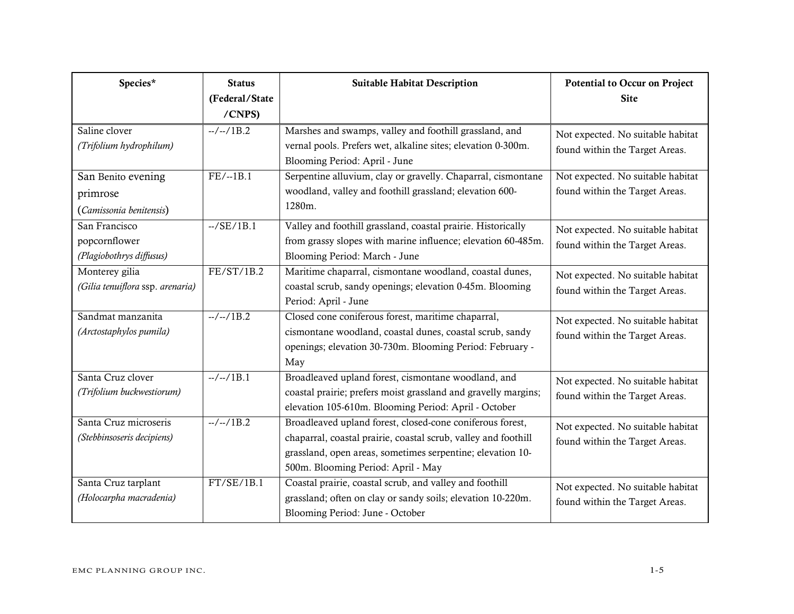| Species*                                                   | <b>Status</b><br>(Federal/State<br>/CNPS) | <b>Suitable Habitat Description</b>                                                                                                                                                                                             | Potential to Occur on Project<br><b>Site</b>                        |
|------------------------------------------------------------|-------------------------------------------|---------------------------------------------------------------------------------------------------------------------------------------------------------------------------------------------------------------------------------|---------------------------------------------------------------------|
| Saline clover<br>(Trifolium hydrophilum)                   | $-/-/1B.2$                                | Marshes and swamps, valley and foothill grassland, and<br>vernal pools. Prefers wet, alkaline sites; elevation 0-300m.<br>Blooming Period: April - June                                                                         | Not expected. No suitable habitat<br>found within the Target Areas. |
| San Benito evening<br>primrose<br>(Camissonia benitensis)  | $FE/-1B.1$                                | Serpentine alluvium, clay or gravelly. Chaparral, cismontane<br>woodland, valley and foothill grassland; elevation 600-<br>1280m.                                                                                               | Not expected. No suitable habitat<br>found within the Target Areas. |
| San Francisco<br>popcornflower<br>(Plagiobothrys diffusus) | $-./SE/1B.1$                              | Valley and foothill grassland, coastal prairie. Historically<br>from grassy slopes with marine influence; elevation 60-485m.<br>Blooming Period: March - June                                                                   | Not expected. No suitable habitat<br>found within the Target Areas. |
| Monterey gilia<br>(Gilia tenuiflora ssp. arenaria)         | FE/ST/1B.2                                | Maritime chaparral, cismontane woodland, coastal dunes,<br>coastal scrub, sandy openings; elevation 0-45m. Blooming<br>Period: April - June                                                                                     | Not expected. No suitable habitat<br>found within the Target Areas. |
| Sandmat manzanita<br>(Arctostaphylos pumila)               | $-/-/1B.2$                                | Closed cone coniferous forest, maritime chaparral,<br>cismontane woodland, coastal dunes, coastal scrub, sandy<br>openings; elevation 30-730m. Blooming Period: February -<br>May                                               | Not expected. No suitable habitat<br>found within the Target Areas. |
| Santa Cruz clover<br>(Trifolium buckwestiorum)             | $-/-/1B.1$                                | Broadleaved upland forest, cismontane woodland, and<br>coastal prairie; prefers moist grassland and gravelly margins;<br>elevation 105-610m. Blooming Period: April - October                                                   | Not expected. No suitable habitat<br>found within the Target Areas. |
| Santa Cruz microseris<br>(Stebbinsoseris decipiens)        | $-/-/1B.2$                                | Broadleaved upland forest, closed-cone coniferous forest,<br>chaparral, coastal prairie, coastal scrub, valley and foothill<br>grassland, open areas, sometimes serpentine; elevation 10-<br>500m. Blooming Period: April - May | Not expected. No suitable habitat<br>found within the Target Areas. |
| Santa Cruz tarplant<br>(Holocarpha macradenia)             | FT/SE/1B.1                                | Coastal prairie, coastal scrub, and valley and foothill<br>grassland; often on clay or sandy soils; elevation 10-220m.<br>Blooming Period: June - October                                                                       | Not expected. No suitable habitat<br>found within the Target Areas. |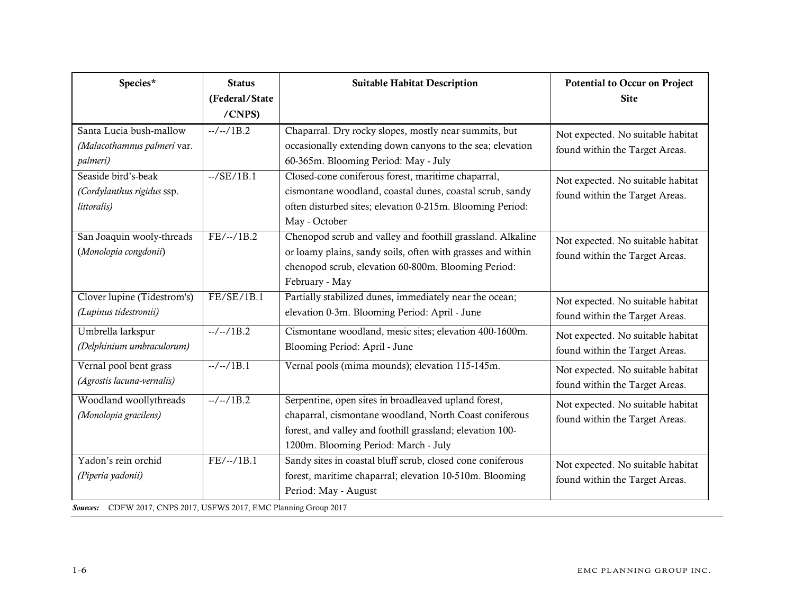| Species*                                                                                                                                                                                           | <b>Status</b><br>(Federal/State<br>/CNPS) | <b>Suitable Habitat Description</b>                                                                                                                                                                                 | <b>Potential to Occur on Project</b><br><b>Site</b>                 |
|----------------------------------------------------------------------------------------------------------------------------------------------------------------------------------------------------|-------------------------------------------|---------------------------------------------------------------------------------------------------------------------------------------------------------------------------------------------------------------------|---------------------------------------------------------------------|
| Santa Lucia bush-mallow<br>(Malacothamnus palmeri var.<br>palmeri)                                                                                                                                 | $-/-/1B.2$                                | Chaparral. Dry rocky slopes, mostly near summits, but<br>occasionally extending down canyons to the sea; elevation<br>60-365m. Blooming Period: May - July                                                          | Not expected. No suitable habitat<br>found within the Target Areas. |
| Seaside bird's-beak<br>(Cordylanthus rigidus ssp.<br>littoralis)                                                                                                                                   | $-./SE/1B.1$                              | Closed-cone coniferous forest, maritime chaparral,<br>cismontane woodland, coastal dunes, coastal scrub, sandy<br>often disturbed sites; elevation 0-215m. Blooming Period:<br>May - October                        | Not expected. No suitable habitat<br>found within the Target Areas. |
| San Joaquin wooly-threads<br>(Monolopia congdonii)                                                                                                                                                 | $FE/-/1B.2$                               | Chenopod scrub and valley and foothill grassland. Alkaline<br>or loamy plains, sandy soils, often with grasses and within<br>chenopod scrub, elevation 60-800m. Blooming Period:<br>February - May                  | Not expected. No suitable habitat<br>found within the Target Areas. |
| Clover lupine (Tidestrom's)<br>(Lupinus tidestromii)                                                                                                                                               | FE/SE/1B.1                                | Partially stabilized dunes, immediately near the ocean;<br>elevation 0-3m. Blooming Period: April - June                                                                                                            | Not expected. No suitable habitat<br>found within the Target Areas. |
| Umbrella larkspur<br>(Delphinium umbraculorum)                                                                                                                                                     | $-/-/1B.2$                                | Cismontane woodland, mesic sites; elevation 400-1600m.<br>Blooming Period: April - June                                                                                                                             | Not expected. No suitable habitat<br>found within the Target Areas. |
| Vernal pool bent grass<br>(Agrostis lacuna-vernalis)                                                                                                                                               | $-/-/1B.1$                                | Vernal pools (mima mounds); elevation 115-145m.                                                                                                                                                                     | Not expected. No suitable habitat<br>found within the Target Areas. |
| Woodland woollythreads<br>(Monolopia gracilens)                                                                                                                                                    | $-/-/1B.2$                                | Serpentine, open sites in broadleaved upland forest,<br>chaparral, cismontane woodland, North Coast coniferous<br>forest, and valley and foothill grassland; elevation 100-<br>1200m. Blooming Period: March - July | Not expected. No suitable habitat<br>found within the Target Areas. |
| Yadon's rein orchid<br>(Piperia yadonii)<br>$\overline{ODMU}$ 2015 $\overline{OMDQ}$ 2015 USDNIC 2015 $\overline{D1}$ $\overline{O}$ $\overline{D1}$ $\overline{O}$ $\overline{D1}$ $\overline{O}$ | $FE/-/1B.1$                               | Sandy sites in coastal bluff scrub, closed cone coniferous<br>forest, maritime chaparral; elevation 10-510m. Blooming<br>Period: May - August                                                                       | Not expected. No suitable habitat<br>found within the Target Areas. |

*Sources:* CDFW 2017, CNPS 2017, USFWS 2017, EMC Planning Group 2017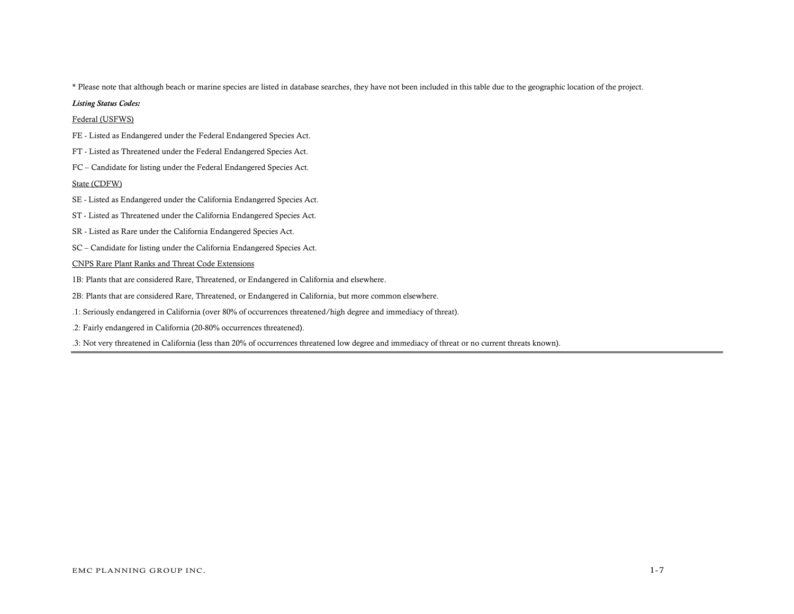\* Please note that although beach or marine species are listed in database searches, they have not been included in this table due to the geographic location of the project.

#### *Listing Status Codes:*

## Federal (USFWS)

- FE Listed as Endangered under the Federal Endangered Species Act.
- FT Listed as Threatened under the Federal Endangered Species Act.
- FC Candidate for listing under the Federal Endangered Species Act.

### State (CDFW)

- SE Listed as Endangered under the California Endangered Species Act.
- ST Listed as Threatened under the California Endangered Species Act.
- SR Listed as Rare under the California Endangered Species Act.
- SC Candidate for listing under the California Endangered Species Act.

### CNPS Rare Plant Ranks and Threat Code Extensions

- 1B: Plants that are considered Rare, Threatened, or Endangered in California and elsewhere.
- 2B: Plants that are considered Rare, Threatened, or Endangered in California, but more common elsewhere.
- .1: Seriously endangered in California (over 80% of occurrences threatened/high degree and immediacy of threat).
- .2: Fairly endangered in California (20-80% occurrences threatened).

.3: Not very threatened in California (less than 20% of occurrences threatened low degree and immediacy of threat or no current threats known).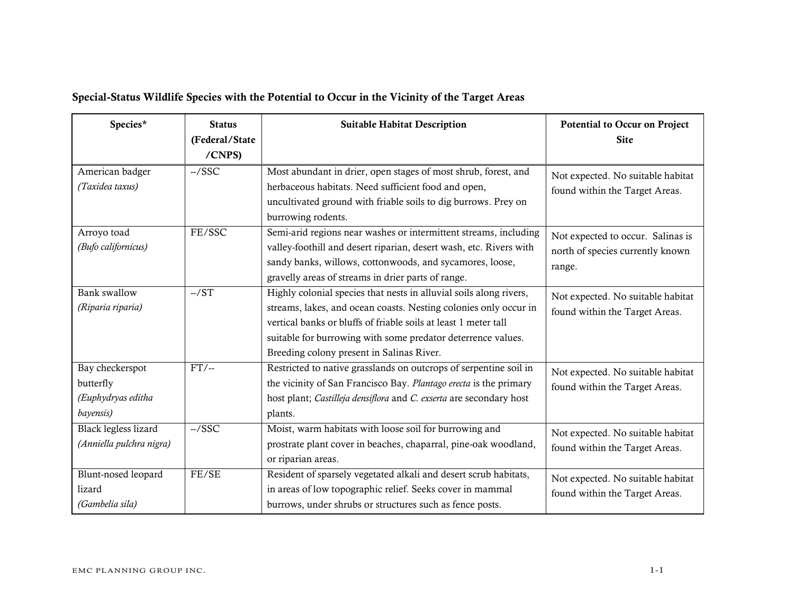# Special-Status Wildlife Species with the Potential to Occur in the Vicinity of the Target Areas

| Species*                                                        | <b>Status</b><br>(Federal/State<br>/CNPS) | <b>Suitable Habitat Description</b>                                                                                                                                                                                                                                                                                    | <b>Potential to Occur on Project</b><br><b>Site</b>                             |
|-----------------------------------------------------------------|-------------------------------------------|------------------------------------------------------------------------------------------------------------------------------------------------------------------------------------------------------------------------------------------------------------------------------------------------------------------------|---------------------------------------------------------------------------------|
| American badger<br>(Taxidea taxus)                              | $-$ /SSC                                  | Most abundant in drier, open stages of most shrub, forest, and<br>herbaceous habitats. Need sufficient food and open,<br>uncultivated ground with friable soils to dig burrows. Prey on<br>burrowing rodents.                                                                                                          | Not expected. No suitable habitat<br>found within the Target Areas.             |
| Arroyo toad<br>(Bufo californicus)                              | FE/SSC                                    | Semi-arid regions near washes or intermittent streams, including<br>valley-foothill and desert riparian, desert wash, etc. Rivers with<br>sandy banks, willows, cottonwoods, and sycamores, loose,<br>gravelly areas of streams in drier parts of range.                                                               | Not expected to occur. Salinas is<br>north of species currently known<br>range. |
| <b>Bank</b> swallow<br>(Riparia riparia)                        | $-./ST$                                   | Highly colonial species that nests in alluvial soils along rivers,<br>streams, lakes, and ocean coasts. Nesting colonies only occur in<br>vertical banks or bluffs of friable soils at least 1 meter tall<br>suitable for burrowing with some predator deterrence values.<br>Breeding colony present in Salinas River. | Not expected. No suitable habitat<br>found within the Target Areas.             |
| Bay checkerspot<br>butterfly<br>(Euphydryas editha<br>bayensis) | $FT/-$                                    | Restricted to native grasslands on outcrops of serpentine soil in<br>the vicinity of San Francisco Bay. Plantago erecta is the primary<br>host plant; Castilleja densiflora and C. exserta are secondary host<br>plants.                                                                                               | Not expected. No suitable habitat<br>found within the Target Areas.             |
| Black legless lizard<br>(Anniella pulchra nigra)                | $-$ /SSC                                  | Moist, warm habitats with loose soil for burrowing and<br>prostrate plant cover in beaches, chaparral, pine-oak woodland,<br>or riparian areas.                                                                                                                                                                        | Not expected. No suitable habitat<br>found within the Target Areas.             |
| Blunt-nosed leopard<br>lizard<br>(Gambelia sila)                | FE/SE                                     | Resident of sparsely vegetated alkali and desert scrub habitats,<br>in areas of low topographic relief. Seeks cover in mammal<br>burrows, under shrubs or structures such as fence posts.                                                                                                                              | Not expected. No suitable habitat<br>found within the Target Areas.             |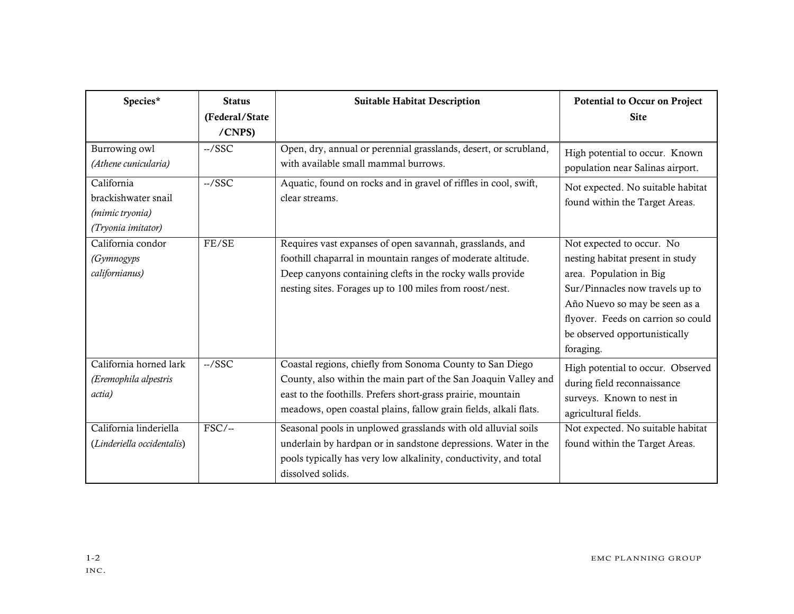| Species*                                                                   | <b>Status</b><br>(Federal/State<br>/CNPS) | <b>Suitable Habitat Description</b>                                                                                                                                                                                                                             | Potential to Occur on Project<br><b>Site</b>                                                                                                                                                                                                     |
|----------------------------------------------------------------------------|-------------------------------------------|-----------------------------------------------------------------------------------------------------------------------------------------------------------------------------------------------------------------------------------------------------------------|--------------------------------------------------------------------------------------------------------------------------------------------------------------------------------------------------------------------------------------------------|
| Burrowing owl<br>(Athene cunicularia)                                      | $-$ /SSC                                  | Open, dry, annual or perennial grasslands, desert, or scrubland,<br>with available small mammal burrows.                                                                                                                                                        | High potential to occur. Known<br>population near Salinas airport.                                                                                                                                                                               |
| California<br>brackishwater snail<br>(mimic tryonia)<br>(Tryonia imitator) | $-/SSC$                                   | Aquatic, found on rocks and in gravel of riffles in cool, swift,<br>clear streams.                                                                                                                                                                              | Not expected. No suitable habitat<br>found within the Target Areas.                                                                                                                                                                              |
| California condor<br>(Gymnogyps<br>californianus)                          | FE/SE                                     | Requires vast expanses of open savannah, grasslands, and<br>foothill chaparral in mountain ranges of moderate altitude.<br>Deep canyons containing clefts in the rocky walls provide<br>nesting sites. Forages up to 100 miles from roost/nest.                 | Not expected to occur. No<br>nesting habitat present in study<br>area. Population in Big<br>Sur/Pinnacles now travels up to<br>Año Nuevo so may be seen as a<br>flyover. Feeds on carrion so could<br>be observed opportunistically<br>foraging. |
| California horned lark<br>(Eremophila alpestris<br>actia)                  | $-$ /SSC                                  | Coastal regions, chiefly from Sonoma County to San Diego<br>County, also within the main part of the San Joaquin Valley and<br>east to the foothills. Prefers short-grass prairie, mountain<br>meadows, open coastal plains, fallow grain fields, alkali flats. | High potential to occur. Observed<br>during field reconnaissance<br>surveys. Known to nest in<br>agricultural fields.                                                                                                                            |
| California linderiella<br>(Linderiella occidentalis)                       | $FSC$ /--                                 | Seasonal pools in unplowed grasslands with old alluvial soils<br>underlain by hardpan or in sandstone depressions. Water in the<br>pools typically has very low alkalinity, conductivity, and total<br>dissolved solids.                                        | Not expected. No suitable habitat<br>found within the Target Areas.                                                                                                                                                                              |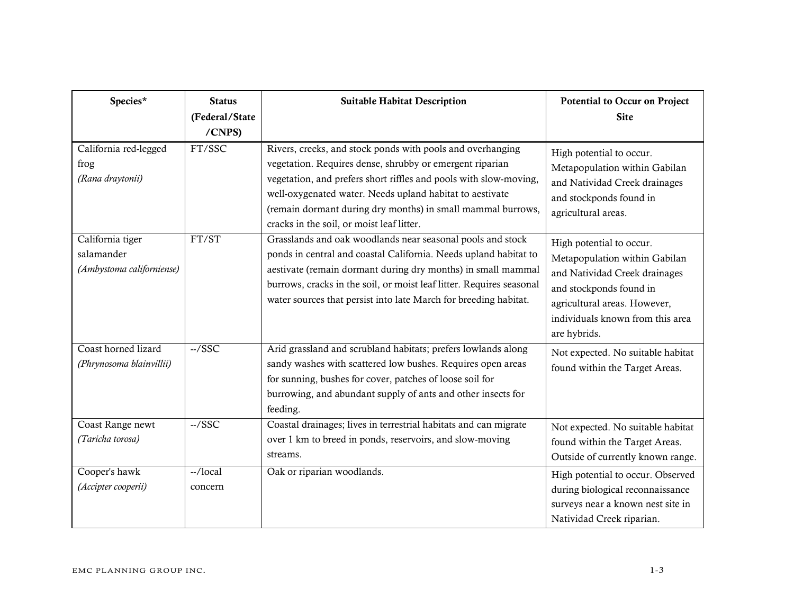| Species*                                                    | <b>Status</b><br>(Federal/State<br>/CNPS) | <b>Suitable Habitat Description</b>                                                                                                                                                                                                                                                                                                                                 | <b>Potential to Occur on Project</b><br><b>Site</b>                                                                                                                                                       |
|-------------------------------------------------------------|-------------------------------------------|---------------------------------------------------------------------------------------------------------------------------------------------------------------------------------------------------------------------------------------------------------------------------------------------------------------------------------------------------------------------|-----------------------------------------------------------------------------------------------------------------------------------------------------------------------------------------------------------|
| California red-legged<br>frog<br>(Rana draytonii)           | FT/SSC                                    | Rivers, creeks, and stock ponds with pools and overhanging<br>vegetation. Requires dense, shrubby or emergent riparian<br>vegetation, and prefers short riffles and pools with slow-moving,<br>well-oxygenated water. Needs upland habitat to aestivate<br>(remain dormant during dry months) in small mammal burrows,<br>cracks in the soil, or moist leaf litter. | High potential to occur.<br>Metapopulation within Gabilan<br>and Natividad Creek drainages<br>and stockponds found in<br>agricultural areas.                                                              |
| California tiger<br>salamander<br>(Ambystoma californiense) | FT/ST                                     | Grasslands and oak woodlands near seasonal pools and stock<br>ponds in central and coastal California. Needs upland habitat to<br>aestivate (remain dormant during dry months) in small mammal<br>burrows, cracks in the soil, or moist leaf litter. Requires seasonal<br>water sources that persist into late March for breeding habitat.                          | High potential to occur.<br>Metapopulation within Gabilan<br>and Natividad Creek drainages<br>and stockponds found in<br>agricultural areas. However,<br>individuals known from this area<br>are hybrids. |
| Coast horned lizard<br>(Phrynosoma blainvillii)             | $-/SSC$                                   | Arid grassland and scrubland habitats; prefers lowlands along<br>sandy washes with scattered low bushes. Requires open areas<br>for sunning, bushes for cover, patches of loose soil for<br>burrowing, and abundant supply of ants and other insects for<br>feeding.                                                                                                | Not expected. No suitable habitat<br>found within the Target Areas.                                                                                                                                       |
| Coast Range newt<br>(Taricha torosa)                        | $-$ /SSC                                  | Coastal drainages; lives in terrestrial habitats and can migrate<br>over 1 km to breed in ponds, reservoirs, and slow-moving<br>streams.                                                                                                                                                                                                                            | Not expected. No suitable habitat<br>found within the Target Areas.<br>Outside of currently known range.                                                                                                  |
| Cooper's hawk<br>(Accipter cooperii)                        | $-$ /local<br>concern                     | Oak or riparian woodlands.                                                                                                                                                                                                                                                                                                                                          | High potential to occur. Observed<br>during biological reconnaissance<br>surveys near a known nest site in<br>Natividad Creek riparian.                                                                   |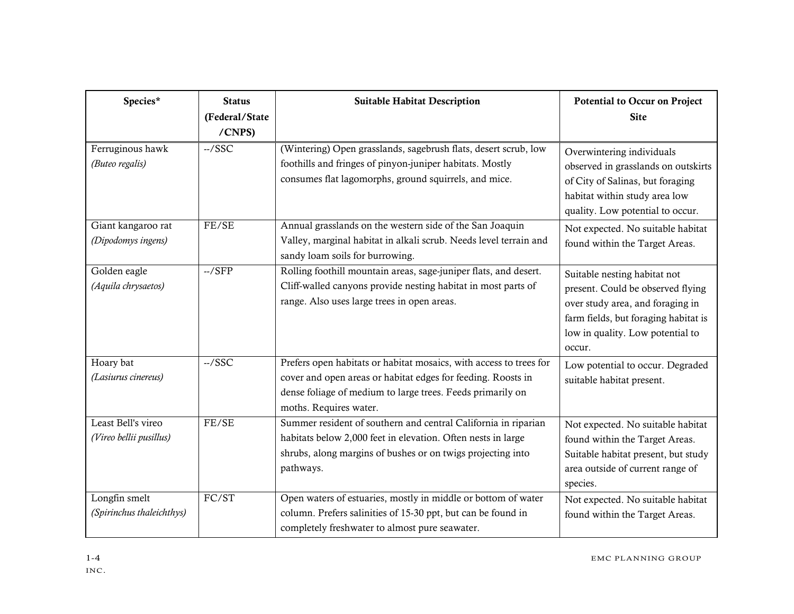| Species*                                      | <b>Status</b><br>(Federal/State | <b>Suitable Habitat Description</b>                                                                                                                                                                                        | <b>Potential to Occur on Project</b><br><b>Site</b>                                                                                                                                         |
|-----------------------------------------------|---------------------------------|----------------------------------------------------------------------------------------------------------------------------------------------------------------------------------------------------------------------------|---------------------------------------------------------------------------------------------------------------------------------------------------------------------------------------------|
|                                               | /CNPS)                          |                                                                                                                                                                                                                            |                                                                                                                                                                                             |
| Ferruginous hawk<br>(Buteo regalis)           | $-$ /SSC                        | (Wintering) Open grasslands, sagebrush flats, desert scrub, low<br>foothills and fringes of pinyon-juniper habitats. Mostly<br>consumes flat lagomorphs, ground squirrels, and mice.                                       | Overwintering individuals<br>observed in grasslands on outskirts<br>of City of Salinas, but foraging<br>habitat within study area low<br>quality. Low potential to occur.                   |
| Giant kangaroo rat<br>(Dipodomys ingens)      | FE/SE                           | Annual grasslands on the western side of the San Joaquin<br>Valley, marginal habitat in alkali scrub. Needs level terrain and<br>sandy loam soils for burrowing.                                                           | Not expected. No suitable habitat<br>found within the Target Areas.                                                                                                                         |
| Golden eagle<br>(Aquila chrysaetos)           | $-./SFP$                        | Rolling foothill mountain areas, sage-juniper flats, and desert.<br>Cliff-walled canyons provide nesting habitat in most parts of<br>range. Also uses large trees in open areas.                                           | Suitable nesting habitat not<br>present. Could be observed flying<br>over study area, and foraging in<br>farm fields, but foraging habitat is<br>low in quality. Low potential to<br>occur. |
| Hoary bat<br>(Lasiurus cinereus)              | $-/SSC$                         | Prefers open habitats or habitat mosaics, with access to trees for<br>cover and open areas or habitat edges for feeding. Roosts in<br>dense foliage of medium to large trees. Feeds primarily on<br>moths. Requires water. | Low potential to occur. Degraded<br>suitable habitat present.                                                                                                                               |
| Least Bell's vireo<br>(Vireo bellii pusillus) | FE/SE                           | Summer resident of southern and central California in riparian<br>habitats below 2,000 feet in elevation. Often nests in large<br>shrubs, along margins of bushes or on twigs projecting into<br>pathways.                 | Not expected. No suitable habitat<br>found within the Target Areas.<br>Suitable habitat present, but study<br>area outside of current range of<br>species.                                  |
| Longfin smelt<br>(Spirinchus thaleichthys)    | $\overline{FC/ST}$              | Open waters of estuaries, mostly in middle or bottom of water<br>column. Prefers salinities of 15-30 ppt, but can be found in<br>completely freshwater to almost pure seawater.                                            | Not expected. No suitable habitat<br>found within the Target Areas.                                                                                                                         |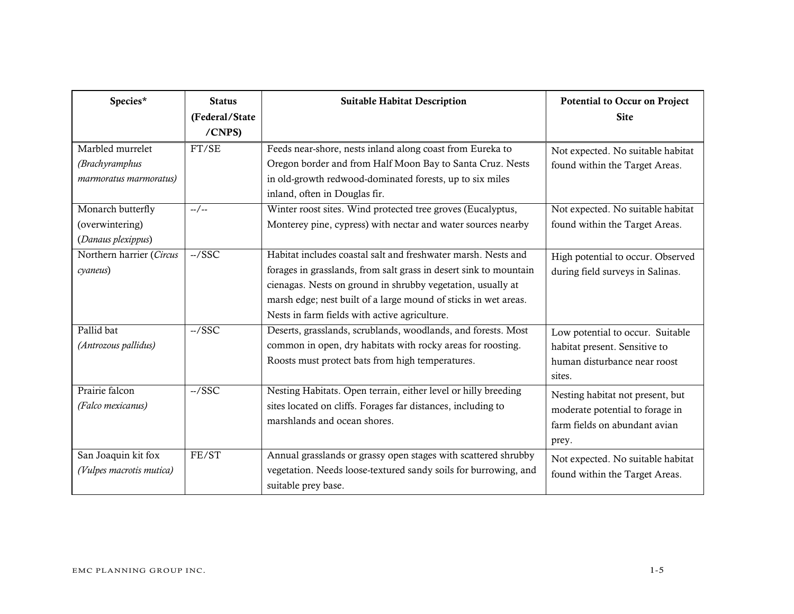| Species*                                                     | <b>Status</b><br>(Federal/State | <b>Suitable Habitat Description</b>                                                                                                                                                                                                                                                                                   | <b>Potential to Occur on Project</b><br><b>Site</b>                                                           |
|--------------------------------------------------------------|---------------------------------|-----------------------------------------------------------------------------------------------------------------------------------------------------------------------------------------------------------------------------------------------------------------------------------------------------------------------|---------------------------------------------------------------------------------------------------------------|
|                                                              | /CNPS)                          |                                                                                                                                                                                                                                                                                                                       |                                                                                                               |
| Marbled murrelet<br>(Brachyramphus<br>marmoratus marmoratus) | FT/SE                           | Feeds near-shore, nests inland along coast from Eureka to<br>Oregon border and from Half Moon Bay to Santa Cruz. Nests<br>in old-growth redwood-dominated forests, up to six miles<br>inland, often in Douglas fir.                                                                                                   | Not expected. No suitable habitat<br>found within the Target Areas.                                           |
| Monarch butterfly<br>(overwintering)<br>(Danaus plexippus)   | $-/-$                           | Winter roost sites. Wind protected tree groves (Eucalyptus,<br>Monterey pine, cypress) with nectar and water sources nearby                                                                                                                                                                                           | Not expected. No suitable habitat<br>found within the Target Areas.                                           |
| Northern harrier (Circus<br>cyaneus)                         | $-$ /SSC                        | Habitat includes coastal salt and freshwater marsh. Nests and<br>forages in grasslands, from salt grass in desert sink to mountain<br>cienagas. Nests on ground in shrubby vegetation, usually at<br>marsh edge; nest built of a large mound of sticks in wet areas.<br>Nests in farm fields with active agriculture. | High potential to occur. Observed<br>during field surveys in Salinas.                                         |
| Pallid bat<br>(Antrozous pallidus)                           | $-$ /SSC                        | Deserts, grasslands, scrublands, woodlands, and forests. Most<br>common in open, dry habitats with rocky areas for roosting.<br>Roosts must protect bats from high temperatures.                                                                                                                                      | Low potential to occur. Suitable<br>habitat present. Sensitive to<br>human disturbance near roost<br>sites.   |
| Prairie falcon<br>(Falco mexicanus)                          | $-/SSC$                         | Nesting Habitats. Open terrain, either level or hilly breeding<br>sites located on cliffs. Forages far distances, including to<br>marshlands and ocean shores.                                                                                                                                                        | Nesting habitat not present, but<br>moderate potential to forage in<br>farm fields on abundant avian<br>prey. |
| San Joaquin kit fox<br>(Vulpes macrotis mutica)              | FE/ST                           | Annual grasslands or grassy open stages with scattered shrubby<br>vegetation. Needs loose-textured sandy soils for burrowing, and<br>suitable prey base.                                                                                                                                                              | Not expected. No suitable habitat<br>found within the Target Areas.                                           |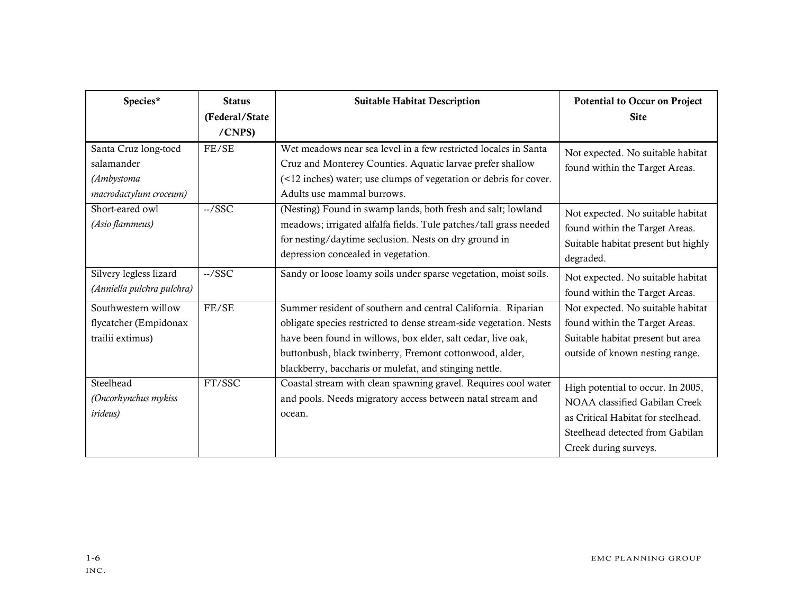| Species*                                                                   | <b>Status</b><br>(Federal/State<br>/CNPS) | <b>Suitable Habitat Description</b>                                                                                                                                                                                                                                                                                     | Potential to Occur on Project<br><b>Site</b>                                                                                                                         |
|----------------------------------------------------------------------------|-------------------------------------------|-------------------------------------------------------------------------------------------------------------------------------------------------------------------------------------------------------------------------------------------------------------------------------------------------------------------------|----------------------------------------------------------------------------------------------------------------------------------------------------------------------|
| Santa Cruz long-toed<br>salamander<br>(Ambystoma<br>macrodactylum croceum) | FE/SE                                     | Wet meadows near sea level in a few restricted locales in Santa<br>Cruz and Monterey Counties. Aquatic larvae prefer shallow<br>(<12 inches) water; use clumps of vegetation or debris for cover.<br>Adults use mammal burrows.                                                                                         | Not expected. No suitable habitat<br>found within the Target Areas.                                                                                                  |
| Short-eared owl<br>(Asio flammeus)                                         | $-/SSC$                                   | (Nesting) Found in swamp lands, both fresh and salt; lowland<br>meadows; irrigated alfalfa fields. Tule patches/tall grass needed<br>for nesting/daytime seclusion. Nests on dry ground in<br>depression concealed in vegetation.                                                                                       | Not expected. No suitable habitat<br>found within the Target Areas.<br>Suitable habitat present but highly<br>degraded.                                              |
| Silvery legless lizard<br>(Anniella pulchra pulchra)                       | $-$ /SSC                                  | Sandy or loose loamy soils under sparse vegetation, moist soils.                                                                                                                                                                                                                                                        | Not expected. No suitable habitat<br>found within the Target Areas.                                                                                                  |
| Southwestern willow<br>flycatcher (Empidonax<br>trailii extimus)           | FE/SE                                     | Summer resident of southern and central California. Riparian<br>obligate species restricted to dense stream-side vegetation. Nests<br>have been found in willows, box elder, salt cedar, live oak,<br>buttonbush, black twinberry, Fremont cottonwood, alder,<br>blackberry, baccharis or mulefat, and stinging nettle. | Not expected. No suitable habitat<br>found within the Target Areas.<br>Suitable habitat present but area<br>outside of known nesting range.                          |
| Steelhead<br>(Oncorhynchus mykiss<br><i>irideus</i> )                      | FT/SSC                                    | Coastal stream with clean spawning gravel. Requires cool water<br>and pools. Needs migratory access between natal stream and<br>ocean.                                                                                                                                                                                  | High potential to occur. In 2005,<br>NOAA classified Gabilan Creek<br>as Critical Habitat for steelhead.<br>Steelhead detected from Gabilan<br>Creek during surveys. |

INC.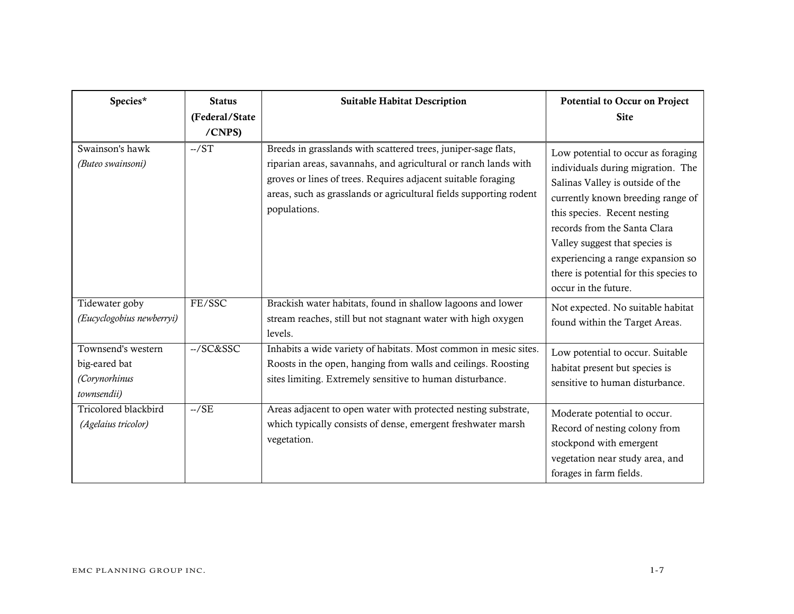| Species*                                                            | <b>Status</b><br>(Federal/State<br>/CNPS) | <b>Suitable Habitat Description</b>                                                                                                                                                                                                                                                      | <b>Potential to Occur on Project</b><br><b>Site</b>                                                                                                                                                                                                                                                                                                       |
|---------------------------------------------------------------------|-------------------------------------------|------------------------------------------------------------------------------------------------------------------------------------------------------------------------------------------------------------------------------------------------------------------------------------------|-----------------------------------------------------------------------------------------------------------------------------------------------------------------------------------------------------------------------------------------------------------------------------------------------------------------------------------------------------------|
| Swainson's hawk<br>(Buteo swainsoni)                                | $-$ /ST                                   | Breeds in grasslands with scattered trees, juniper-sage flats,<br>riparian areas, savannahs, and agricultural or ranch lands with<br>groves or lines of trees. Requires adjacent suitable foraging<br>areas, such as grasslands or agricultural fields supporting rodent<br>populations. | Low potential to occur as foraging<br>individuals during migration. The<br>Salinas Valley is outside of the<br>currently known breeding range of<br>this species. Recent nesting<br>records from the Santa Clara<br>Valley suggest that species is<br>experiencing a range expansion so<br>there is potential for this species to<br>occur in the future. |
| Tidewater goby<br>(Eucyclogobius newberryi)                         | FE/SSC                                    | Brackish water habitats, found in shallow lagoons and lower<br>stream reaches, still but not stagnant water with high oxygen<br>levels.                                                                                                                                                  | Not expected. No suitable habitat<br>found within the Target Areas.                                                                                                                                                                                                                                                                                       |
| Townsend's western<br>big-eared bat<br>(Corynorhinus<br>townsendii) | --/SC&SSC                                 | Inhabits a wide variety of habitats. Most common in mesic sites.<br>Roosts in the open, hanging from walls and ceilings. Roosting<br>sites limiting. Extremely sensitive to human disturbance.                                                                                           | Low potential to occur. Suitable<br>habitat present but species is<br>sensitive to human disturbance.                                                                                                                                                                                                                                                     |
| Tricolored blackbird<br>(Agelaius tricolor)                         | $-./SE$                                   | Areas adjacent to open water with protected nesting substrate,<br>which typically consists of dense, emergent freshwater marsh<br>vegetation.                                                                                                                                            | Moderate potential to occur.<br>Record of nesting colony from<br>stockpond with emergent<br>vegetation near study area, and<br>forages in farm fields.                                                                                                                                                                                                    |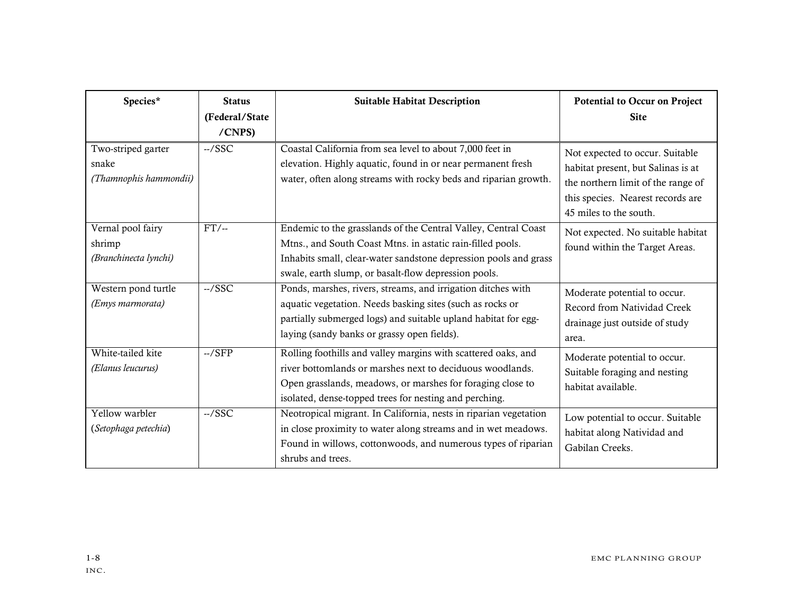| Species*                                              | <b>Status</b><br>(Federal/State<br>/CNPS) | <b>Suitable Habitat Description</b>                                                                                                                                                                                                                      | Potential to Occur on Project<br><b>Site</b>                                                                                                                               |
|-------------------------------------------------------|-------------------------------------------|----------------------------------------------------------------------------------------------------------------------------------------------------------------------------------------------------------------------------------------------------------|----------------------------------------------------------------------------------------------------------------------------------------------------------------------------|
| Two-striped garter<br>snake<br>(Thamnophis hammondii) | $-$ /SSC                                  | Coastal California from sea level to about 7,000 feet in<br>elevation. Highly aquatic, found in or near permanent fresh<br>water, often along streams with rocky beds and riparian growth.                                                               | Not expected to occur. Suitable<br>habitat present, but Salinas is at<br>the northern limit of the range of<br>this species. Nearest records are<br>45 miles to the south. |
| Vernal pool fairy<br>shrimp<br>(Branchinecta lynchi)  | $FT/-$                                    | Endemic to the grasslands of the Central Valley, Central Coast<br>Mtns., and South Coast Mtns. in astatic rain-filled pools.<br>Inhabits small, clear-water sandstone depression pools and grass<br>swale, earth slump, or basalt-flow depression pools. | Not expected. No suitable habitat<br>found within the Target Areas.                                                                                                        |
| Western pond turtle<br>(Emys marmorata)               | $-$ /SSC                                  | Ponds, marshes, rivers, streams, and irrigation ditches with<br>aquatic vegetation. Needs basking sites (such as rocks or<br>partially submerged logs) and suitable upland habitat for egg-<br>laying (sandy banks or grassy open fields).               | Moderate potential to occur.<br>Record from Natividad Creek<br>drainage just outside of study<br>area.                                                                     |
| White-tailed kite<br>(Elanus leucurus)                | $-./SFP$                                  | Rolling foothills and valley margins with scattered oaks, and<br>river bottomlands or marshes next to deciduous woodlands.<br>Open grasslands, meadows, or marshes for foraging close to<br>isolated, dense-topped trees for nesting and perching.       | Moderate potential to occur.<br>Suitable foraging and nesting<br>habitat available.                                                                                        |
| Yellow warbler<br>(Setophaga petechia)                | $-$ /SSC                                  | Neotropical migrant. In California, nests in riparian vegetation<br>in close proximity to water along streams and in wet meadows.<br>Found in willows, cottonwoods, and numerous types of riparian<br>shrubs and trees.                                  | Low potential to occur. Suitable<br>habitat along Natividad and<br>Gabilan Creeks.                                                                                         |